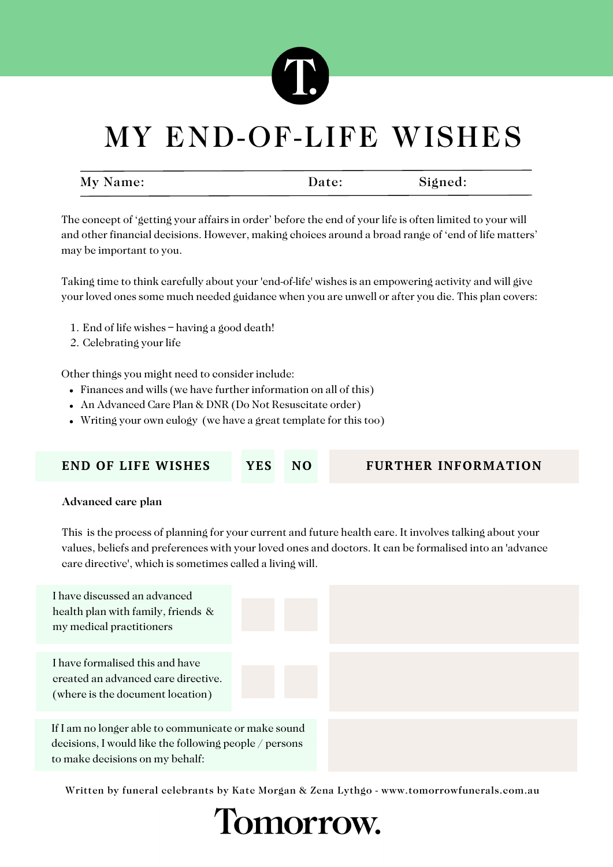

| My Name: | Date: | Signed: |
|----------|-------|---------|
|          |       |         |

The concept of 'getting your affairs in order' before the end of your life is often limited to your will and other financial decisions. However, making choices around a broad range of 'end of life matters' may be important to you.

Taking time to think carefully about your 'end-of-life' wishes is an empowering activity and will give your loved ones some much needed guidance when you are unwell or after you die. This plan covers:

- End of life wishes having a good death! 1.
- 2. Celebrating your life

Other things you might need to consider include:

- Finances and wills (we have further information on all of this)
- An Advanced Care Plan & DNR (Do Not Resuscitate order)
- Writing your own eulogy (we have a great template for this too)

| <b>END OF LIFE WISHES</b> |  |
|---------------------------|--|
|---------------------------|--|

#### **END OF LIFE WISHES YES NO FURTHER INFORMATION**

#### Advanced care plan

This is the process of planning for your current and future health care. It involves talking about your values, beliefs and preferences with your loved ones and doctors. It can be formalised into an 'advance care directive', which is sometimes called a living will.

| I have discussed an advanced<br>health plan with family, friends &<br>my medical practitioners                                                   |  |  |
|--------------------------------------------------------------------------------------------------------------------------------------------------|--|--|
| I have formalised this and have<br>created an advanced care directive.<br>(where is the document location)                                       |  |  |
| If I am no longer able to communicate or make sound<br>decisions, I would like the following people / persons<br>to make decisions on my behalf: |  |  |

Written by funeral celebrants by Kate Morgan & Zena Lythgo - www.tomorrowfunerals.com.au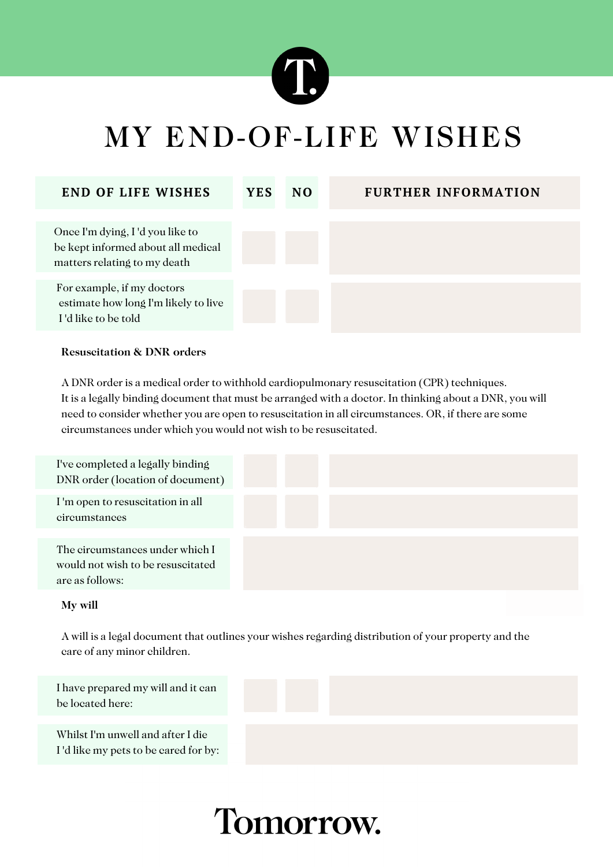

| <b>END OF LIFE WISHES</b>                                                                             | <b>YES</b> | N <sub>O</sub> | <b>FURTHER INFORMATION</b> |
|-------------------------------------------------------------------------------------------------------|------------|----------------|----------------------------|
| Once I'm dying, I'd you like to<br>be kept informed about all medical<br>matters relating to my death |            |                |                            |
| For example, if my doctors<br>estimate how long I'm likely to live<br>I'd like to be told             |            |                |                            |

#### Resuscitation & DNR orders

A DNR order is a medical order to withhold cardiopulmonary resuscitation (CPR) techniques. It is a legally binding document that must be arranged with a doctor. In thinking about a DNR, you will need to consider whether you are open to resuscitation in all circumstances. OR, if there are some circumstances under which you would not wish to be resuscitated.

| I've completed a legally binding<br>DNR order (location of document)                    |  |  |  |
|-----------------------------------------------------------------------------------------|--|--|--|
| I'm open to resuscitation in all<br>circumstances                                       |  |  |  |
| The circumstances under which I<br>would not wish to be resuscitated<br>are as follows: |  |  |  |

#### My will

A will is a legal document that outlines your wishes regarding distribution of your property and the care of any minor children.

I have prepared my will and it can be located here:



Whilst I'm unwell and after I die I 'd like my pets to be cared for by: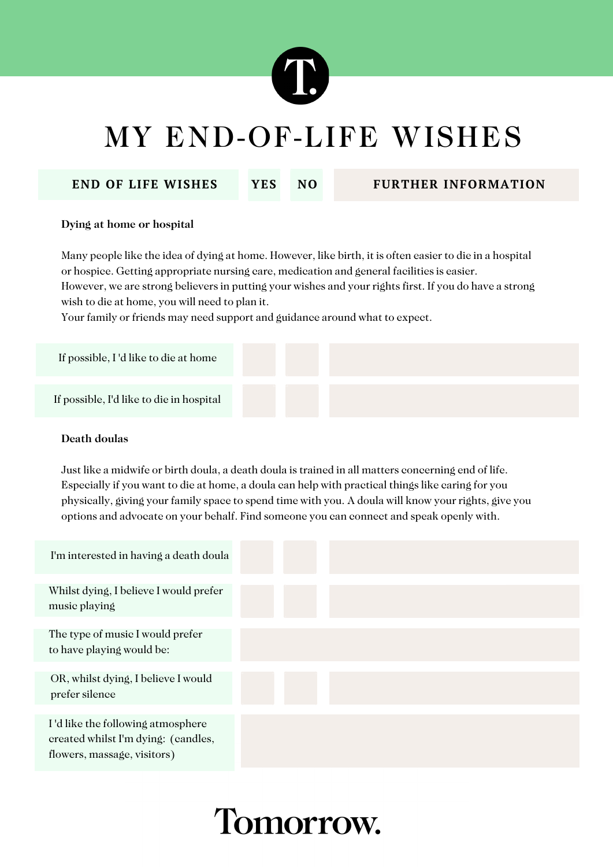

#### **END OF LIFE WISHES YES NO FURTHER INFORMATION**

#### Dying at home or hospital

Many people like the idea of dying at home. However, like birth, it is often easier to die in a hospital or hospice. Getting appropriate nursing care, medication and general facilities is easier. However, we are strong believers in putting your wishes and your rights first. If you do have a strong wish to die at home, you will need to plan it.

Your family or friends may need support and guidance around what to expect.

| If possible, I'd like to die at home     |  |  |  |
|------------------------------------------|--|--|--|
| If possible, I'd like to die in hospital |  |  |  |

#### Death doulas

Just like a midwife or birth doula, a death doula is trained in all matters concerning end of life. Especially if you want to die at home, a doula can help with practical things like caring for you physically, giving your family space to spend time with you. A doula will know your rights, give you options and advocate on your behalf. Find someone you can connect and speak openly with.

| I'm interested in having a death doula                                                                  |  |  |
|---------------------------------------------------------------------------------------------------------|--|--|
| Whilst dying, I believe I would prefer<br>music playing                                                 |  |  |
| The type of music I would prefer<br>to have playing would be:                                           |  |  |
| OR, whilst dying, I believe I would<br>prefer silence                                                   |  |  |
| I'd like the following atmosphere<br>created whilst I'm dying: (candles,<br>flowers, massage, visitors) |  |  |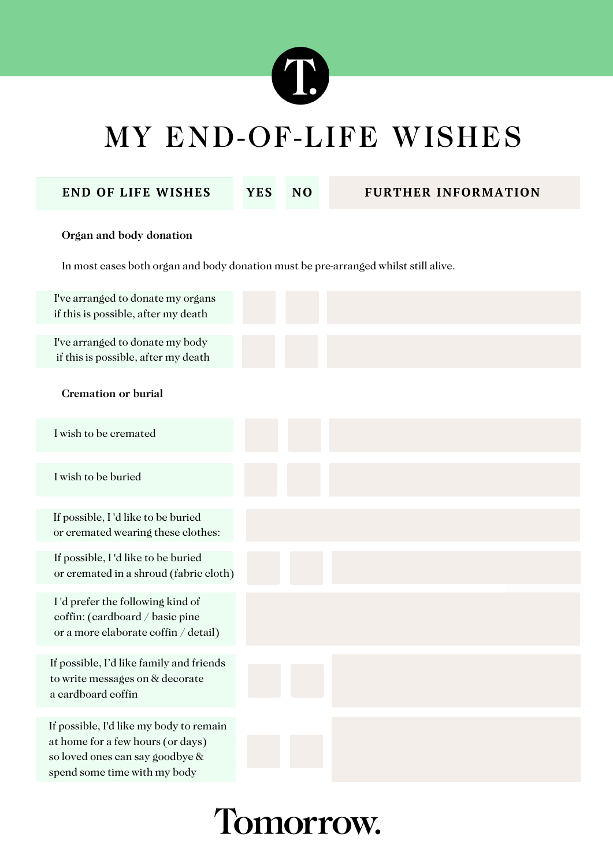

**END OF LIFE WISHES YES NO FURTHER INFORMATION**

#### Organ and body donation

In most cases both organ and body donation must be pre-arranged whilst still alive.

| I've arranged to donate my organs<br>if this is possible, after my death                                                                        |  |  |
|-------------------------------------------------------------------------------------------------------------------------------------------------|--|--|
| I've arranged to donate my body<br>if this is possible, after my death                                                                          |  |  |
| <b>Cremation or burial</b>                                                                                                                      |  |  |
| I wish to be cremated                                                                                                                           |  |  |
| I wish to be buried                                                                                                                             |  |  |
| If possible, I'd like to be buried<br>or cremated wearing these clothes:                                                                        |  |  |
| If possible, I'd like to be buried<br>or cremated in a shroud (fabric cloth)                                                                    |  |  |
| I'd prefer the following kind of<br>coffin: (cardboard / basic pine<br>or a more elaborate coffin / detail)                                     |  |  |
| If possible, I'd like family and friends<br>to write messages on & decorate<br>a cardboard coffin                                               |  |  |
| If possible, I'd like my body to remain<br>at home for a few hours (or days)<br>so loved ones can say goodbye &<br>spend some time with my body |  |  |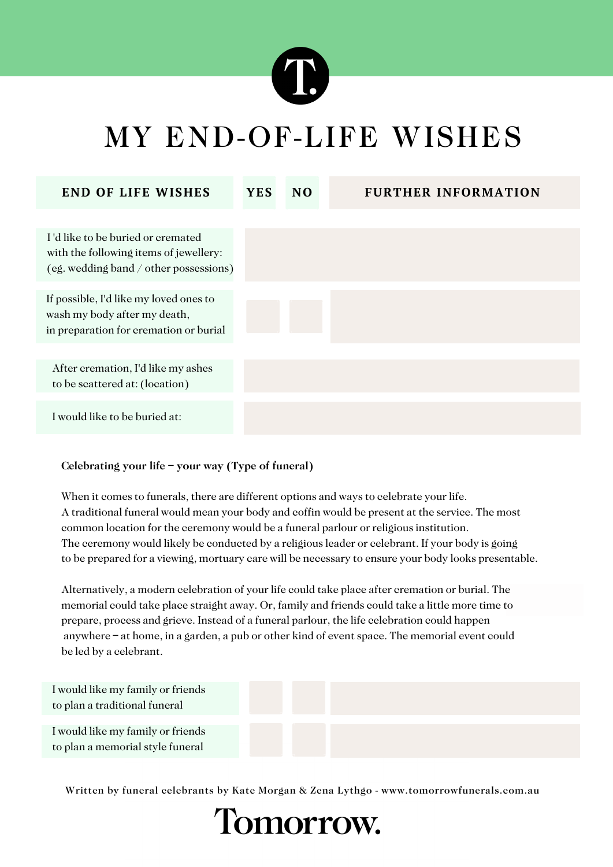

| <b>END OF LIFE WISHES</b>                                                                                             | <b>YES</b> | N <sub>O</sub> | <b>FURTHER INFORMATION</b> |
|-----------------------------------------------------------------------------------------------------------------------|------------|----------------|----------------------------|
|                                                                                                                       |            |                |                            |
| I'd like to be buried or cremated<br>with the following items of jewellery:<br>(eg. wedding band / other possessions) |            |                |                            |
| If possible, I'd like my loved ones to<br>wash my body after my death,<br>in preparation for cremation or burial      |            |                |                            |
|                                                                                                                       |            |                |                            |
| After cremation, I'd like my ashes<br>to be scattered at: (location)                                                  |            |                |                            |
|                                                                                                                       |            |                |                            |
| I would like to be buried at:                                                                                         |            |                |                            |
|                                                                                                                       |            |                |                            |

#### Celebrating your life – your way (Type of funeral)

When it comes to funerals, there are different options and ways to celebrate your life. A traditional funeral would mean your body and coffin would be present at the service. The most common location for the ceremony would be a funeral parlour or religious institution. The ceremony would likely be conducted by a religious leader or celebrant. If your body is going to be prepared for a viewing, mortuary care will be necessary to ensure your body looks presentable.

Alternatively, a modern celebration of your life could take place after cremation or burial. The memorial could take place straight away. Or, family and friends could take a little more time to prepare, process and grieve. Instead of a funeral parlour, the life celebration could happen anywhere – at home, in a garden, a pub or other kind of event space. The memorial event could be led by a celebrant.

| I would like my family or friends<br>to plan a traditional funeral    |  |  |
|-----------------------------------------------------------------------|--|--|
| I would like my family or friends<br>to plan a memorial style funeral |  |  |

Written by funeral celebrants by Kate Morgan & Zena Lythgo - www.tomorrowfunerals.com.au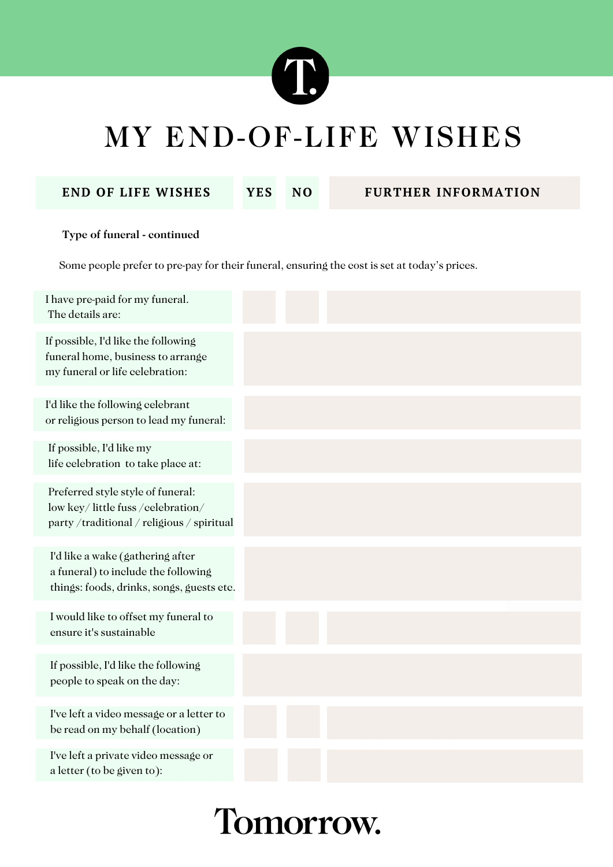

**END OF LIFE WISHES YES NO FURTHER INFORMATION**

#### Type of funeral - continued

Some people prefer to pre-pay for their funeral, ensuring the cost is set at today's prices.

| I have pre-paid for my funeral.<br>The details are:                                                                  |  |  |
|----------------------------------------------------------------------------------------------------------------------|--|--|
| If possible, I'd like the following<br>funeral home, business to arrange<br>my funeral or life celebration:          |  |  |
| I'd like the following celebrant<br>or religious person to lead my funeral:                                          |  |  |
| If possible, I'd like my<br>life celebration to take place at:                                                       |  |  |
| Preferred style style of funeral:<br>low key/little fuss/celebration/<br>party/traditional/religious/spiritual       |  |  |
| I'd like a wake (gathering after<br>a funeral) to include the following<br>things: foods, drinks, songs, guests etc. |  |  |
| I would like to offset my funeral to<br>ensure it's sustainable                                                      |  |  |
| If possible, I'd like the following<br>people to speak on the day:                                                   |  |  |
| I've left a video message or a letter to<br>be read on my behalf (location)                                          |  |  |
| I've left a private video message or<br>a letter (to be given to):                                                   |  |  |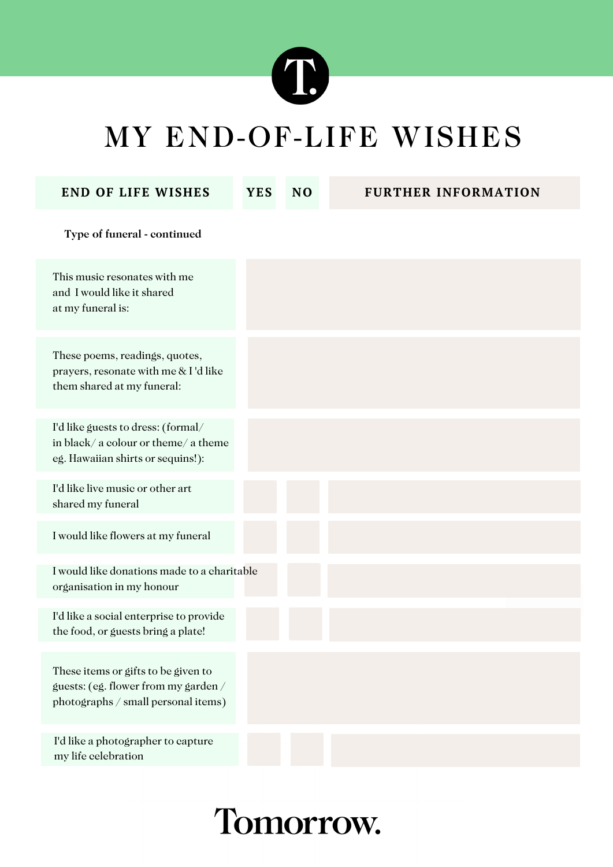

| <b>END OF LIFE WISHES</b>                                                                                          | <b>YES</b> | N <sub>0</sub> | <b>FURTHER INFORMATION</b> |
|--------------------------------------------------------------------------------------------------------------------|------------|----------------|----------------------------|
| Type of funeral - continued                                                                                        |            |                |                            |
| This music resonates with me<br>and I would like it shared<br>at my funeral is:                                    |            |                |                            |
| These poems, readings, quotes,<br>prayers, resonate with me & I'd like<br>them shared at my funeral:               |            |                |                            |
| I'd like guests to dress: (formal/<br>in black/a colour or theme/a theme<br>eg. Hawaiian shirts or sequins!):      |            |                |                            |
| I'd like live music or other art<br>shared my funeral                                                              |            |                |                            |
| I would like flowers at my funeral                                                                                 |            |                |                            |
| I would like donations made to a charitable<br>organisation in my honour                                           |            |                |                            |
| I'd like a social enterprise to provide<br>the food, or guests bring a plate!                                      |            |                |                            |
| These items or gifts to be given to<br>guests: (eg. flower from my garden /<br>photographs / small personal items) |            |                |                            |
| I'd like a photographer to capture<br>my life celebration                                                          |            |                |                            |